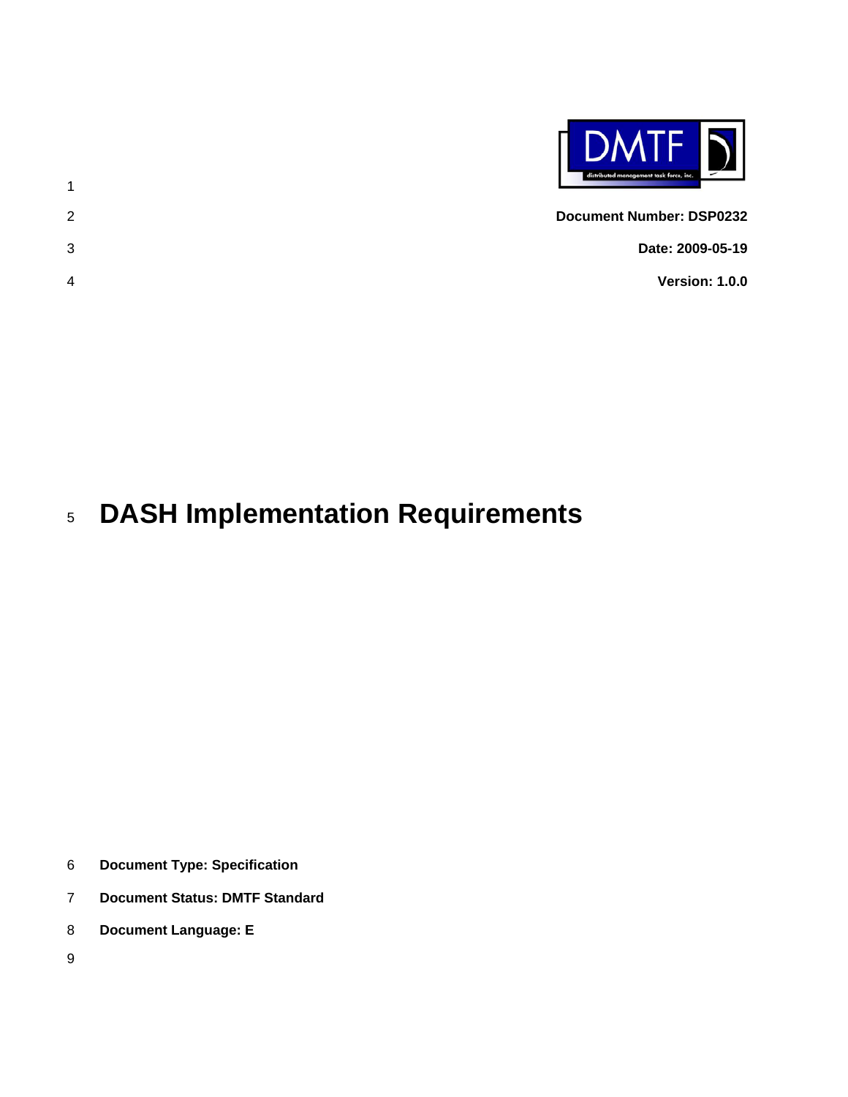

1 2 3 4 **Document Number: DSP0232 Date: 2009-05-19 Version: 1.0.0** 

#### 5 **DASH Implementation Requirements**

- 6 **Document Type: Specification**
- 7 **Document Status: DMTF Standard**
- 8 **Document Language: E**
- 9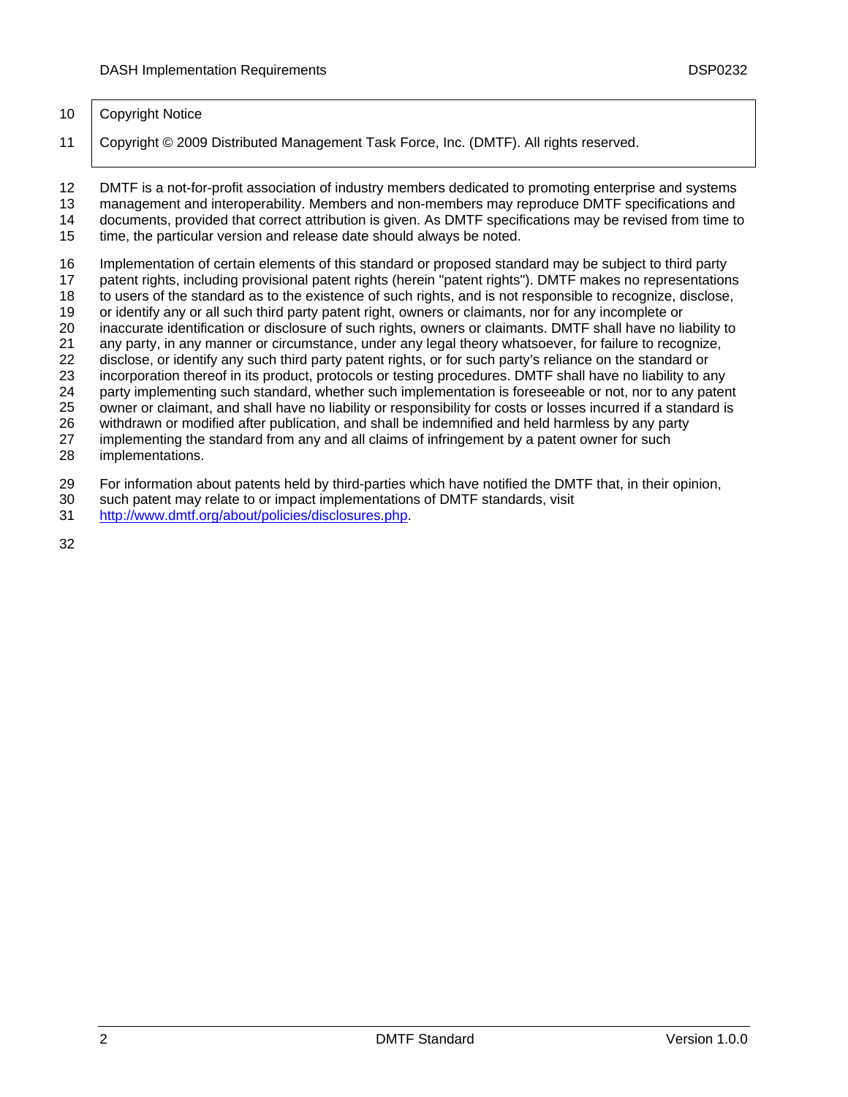#### 10 | Copyright Notice

11 Copyright © 2009 Distributed Management Task Force, Inc. (DMTF). All rights reserved.

12 13 14 DMTF is a not-for-profit association of industry members dedicated to promoting enterprise and systems management and interoperability. Members and non-members may reproduce DMTF specifications and documents, provided that correct attribution is given. As DMTF specifications may be revised from time to

15 time, the particular version and release date should always be noted.

16 Implementation of certain elements of this standard or proposed standard may be subject to third party

17 patent rights, including provisional patent rights (herein "patent rights"). DMTF makes no representations

18 to users of the standard as to the existence of such rights, and is not responsible to recognize, disclose,

19 20 or identify any or all such third party patent right, owners or claimants, nor for any incomplete or inaccurate identification or disclosure of such rights, owners or claimants. DMTF shall have no liability to

21 any party, in any manner or circumstance, under any legal theory whatsoever, for failure to recognize,

22 disclose, or identify any such third party patent rights, or for such party's reliance on the standard or

23 incorporation thereof in its product, protocols or testing procedures. DMTF shall have no liability to any

24 party implementing such standard, whether such implementation is foreseeable or not, nor to any patent

25 owner or claimant, and shall have no liability or responsibility for costs or losses incurred if a standard is

26 withdrawn or modified after publication, and shall be indemnified and held harmless by any party

27 implementing the standard from any and all claims of infringement by a patent owner for such

28 implementations.

29 For information about patents held by third-parties which have notified the DMTF that, in their opinion,

- 30 such patent may relate to or impact implementations of DMTF standards, visit
- 31 <http://www.dmtf.org/about/policies/disclosures.php>.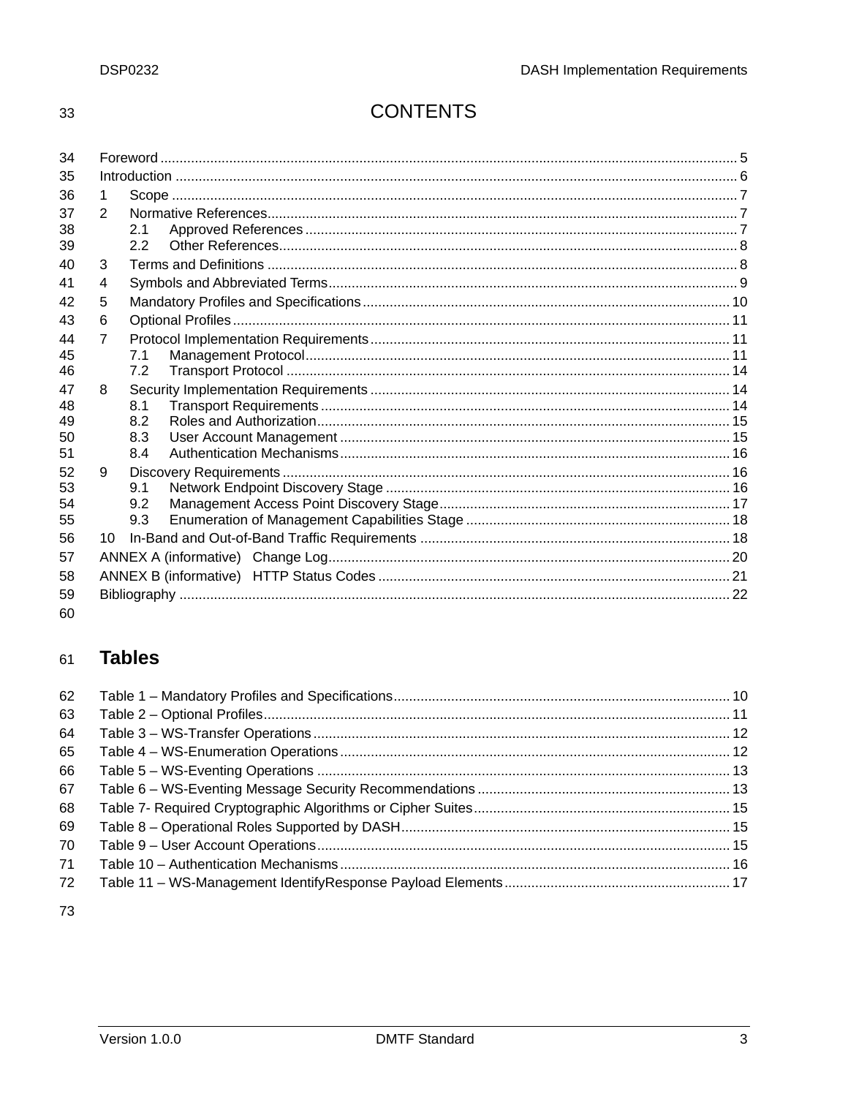33

## **CONTENTS**

| 34 |                |     |  |
|----|----------------|-----|--|
| 35 |                |     |  |
| 36 | 1.             |     |  |
| 37 | 2              |     |  |
| 38 |                | 2.1 |  |
| 39 |                | 22  |  |
| 40 | 3              |     |  |
| 41 | 4              |     |  |
| 42 | 5              |     |  |
| 43 | 6              |     |  |
| 44 | $\overline{7}$ |     |  |
| 45 |                | 7.1 |  |
| 46 |                | 7.2 |  |
| 47 | 8              |     |  |
| 48 |                | 8.1 |  |
| 49 |                | 8.2 |  |
| 50 |                | 8.3 |  |
| 51 |                | 8.4 |  |
| 52 | 9              |     |  |
| 53 |                | 9.1 |  |
| 54 |                | 9.2 |  |
| 55 |                | 9.3 |  |
| 56 | 10             |     |  |
| 57 |                |     |  |
| 58 |                |     |  |
| 59 |                |     |  |
| 60 |                |     |  |

#### **Tables** 61

| 62 |  |
|----|--|
| 63 |  |
| 64 |  |
| 65 |  |
| 66 |  |
| 67 |  |
| 68 |  |
| 69 |  |
| 70 |  |
| 71 |  |
| 72 |  |
|    |  |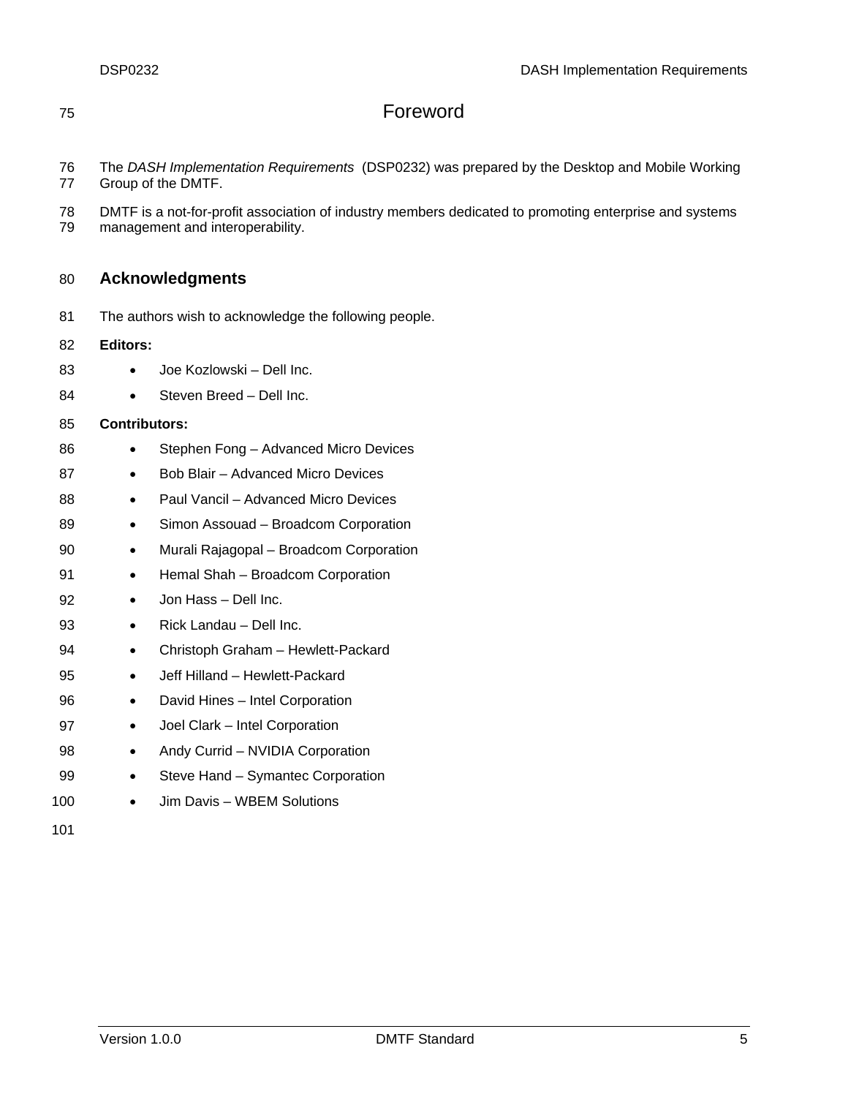## <span id="page-4-0"></span>75 Foreword

- 76 77 The *DASH Implementation Requirements* (DSP0232) was prepared by the Desktop and Mobile Working Group of the DMTF.
- 78 DMTF is a not-for-profit association of industry members dedicated to promoting enterprise and systems
- 79 management and interoperability.

#### 80 **Acknowledgments**

81 The authors wish to acknowledge the following people.

#### 82 **Editors:**

- 83 • Joe Kozlowski – Dell Inc.
- 84 • Steven Breed – Dell Inc.

#### 85 **Contributors:**

- 86 • Stephen Fong – Advanced Micro Devices
- 87 • Bob Blair – Advanced Micro Devices
- 88 • Paul Vancil – Advanced Micro Devices
- 89 • Simon Assouad – Broadcom Corporation
- 90 • Murali Rajagopal – Broadcom Corporation
- 91 • Hemal Shah – Broadcom Corporation

#### 92 • Jon Hass – Dell Inc.

- 93 • Rick Landau – Dell Inc.
- 94 • Christoph Graham – Hewlett-Packard
- 95 • Jeff Hilland – Hewlett-Packard
- 96 • David Hines – Intel Corporation
- 97 • Joel Clark – Intel Corporation
- 98 • Andy Currid – NVIDIA Corporation
- 99 • Steve Hand – Symantec Corporation
- 100 • Jim Davis – WBEM Solutions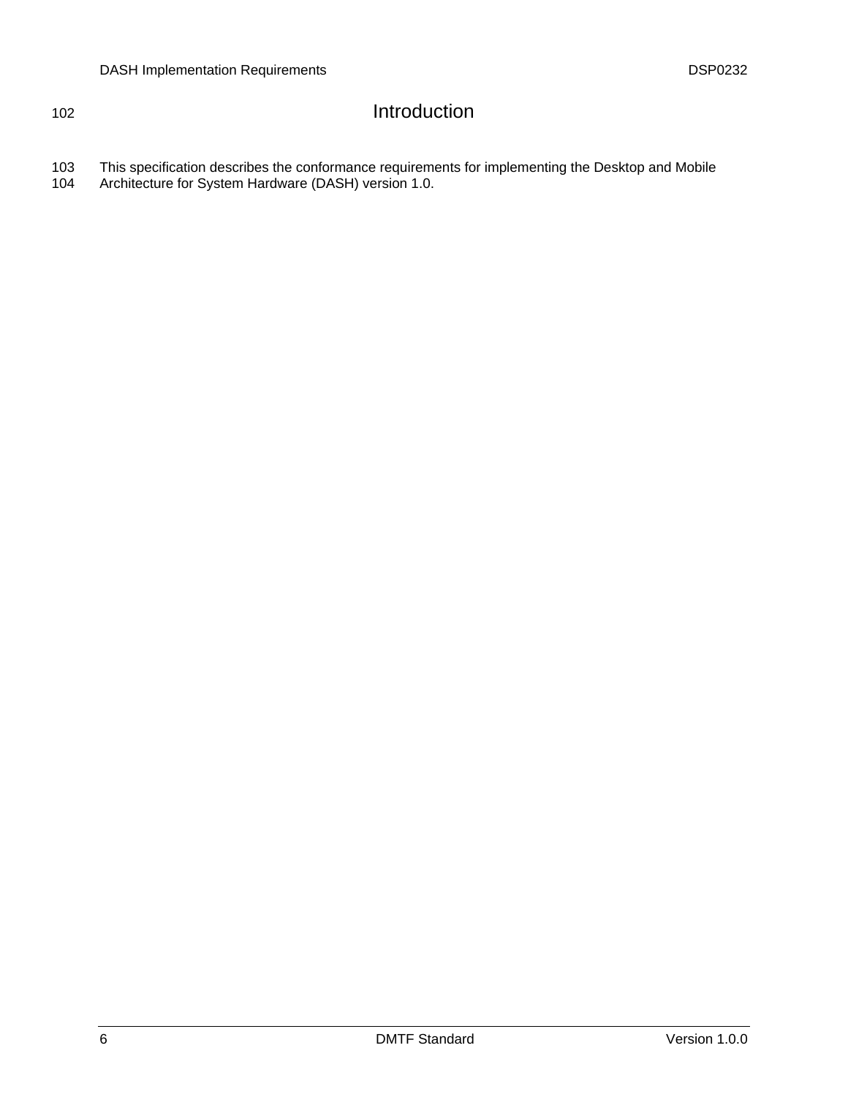## <span id="page-5-0"></span>102 Introduction

103 104 This specification describes the conformance requirements for implementing the Desktop and Mobile Architecture for System Hardware (DASH) version 1.0.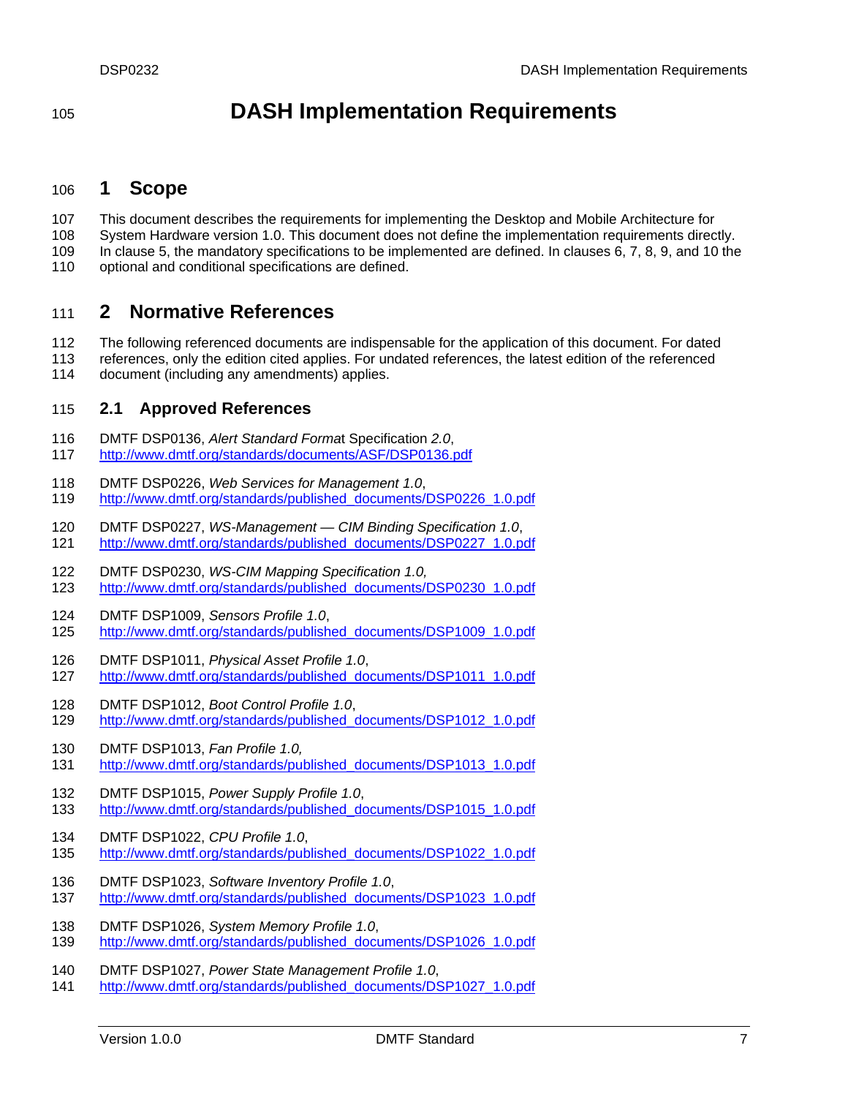<span id="page-6-0"></span><sup>105</sup>**DASH Implementation Requirements** 

### 106 **1 Scope**

107 This document describes the requirements for implementing the Desktop and Mobile Architecture for

108 System Hardware version 1.0. This document does not define the implementation requirements directly.

109 In clause [5](#page-9-1), the mandatory specifications to be implemented are defined. In clauses [6](#page-10-1), [7](#page-10-2), [8,](#page-13-1) [9,](#page-15-1) and [10](#page-17-1) the

110 optional and conditional specifications are defined.

## 111 **2 Normative References**

112 113 The following referenced documents are indispensable for the application of this document. For dated references, only the edition cited applies. For undated references, the latest edition of the referenced

114 document (including any amendments) applies.

#### 115 **2.1 Approved References**

- 116 DMTF DSP0136, *Alert Standard Forma*t Specification *2.0*,
- 117 <http://www.dmtf.org/standards/documents/ASF/DSP0136.pdf>
- 118 DMTF DSP0226, *Web Services for Management 1.0*, 119 [http://www.dmtf.org/standards/published\\_documents/DSP0226\\_1.0.pdf](http://www.dmtf.org/standards/published_documents/DSP0226_1.0.pdf)
- 120 DMTF DSP0227, *WS-Management CIM Binding Specification 1.0*, 121 [http://www.dmtf.org/standards/published\\_documents/DSP0227\\_1.0.pdf](http://www.dmtf.org/standards/published_documents/DSP0227_1.0.pdf)
- 122 DMTF DSP0230, *WS-CIM Mapping Specification 1.0,*  123 [http://www.dmtf.org/standards/published\\_documents/DSP0230\\_1.0.pdf](http://www.dmtf.org/standards/published_documents/DSP0230_1.0.pdf)
- 124 DMTF DSP1009, *Sensors Profile 1.0*,
- 125 [http://www.dmtf.org/standards/published\\_documents/DSP1009\\_1.0.pdf](http://www.dmtf.org/standards/published_documents/DSP1009_1.0.pdf)
- 126 DMTF DSP1011, *Physical Asset Profile 1.0*,
- 127 [http://www.dmtf.org/standards/published\\_documents/DSP1011\\_1.0.pdf](http://www.dmtf.org/standards/published_documents/DSP1011_1.0.pdf)
- 128 DMTF DSP1012, *Boot Control Profile 1.0*, 129 [http://www.dmtf.org/standards/published\\_documents/DSP1012\\_1.0.pdf](http://www.dmtf.org/standards/published_documents/DSP1012_1.0.pdf)
- 130 DMTF DSP1013, *Fan Profile 1.0,*
- 131 [http://www.dmtf.org/standards/published\\_documents/DSP1013\\_1.0.pdf](http://www.dmtf.org/standards/published_documents/DSP1013_1.0.pdf)
- 132 DMTF DSP1015, *Power Supply Profile 1.0*,
- 133 [http://www.dmtf.org/standards/published\\_documents/DSP1015\\_1.0.pdf](http://www.dmtf.org/standards/published_documents/DSP1015_1.0.pdf)
- 134 DMTF DSP1022, *CPU Profile 1.0*, 135 [http://www.dmtf.org/standards/published\\_documents/DSP1022\\_1.0.pdf](http://www.dmtf.org/standards/published_documents/DSP1022_1.0.pdf)
- 136 DMTF DSP1023, *Software Inventory Profile 1.0*, 137 [http://www.dmtf.org/standards/published\\_documents/DSP1023\\_1.0.pdf](http://www.dmtf.org/standards/published_documents/DSP1023_1.0.pdf)
- 138 DMTF DSP1026, *System Memory Profile 1.0*, 139 [http://www.dmtf.org/standards/published\\_documents/DSP1026\\_1.0.pdf](http://www.dmtf.org/standards/published_documents/DSP1026_1.0.pdf)
- 140 DMTF DSP1027, *Power State Management Profile 1.0*,
- 141 [http://www.dmtf.org/standards/published\\_documents/DSP1027\\_1.0.pdf](http://www.dmtf.org/standards/published_documents/DSP1027_1.0.pdf)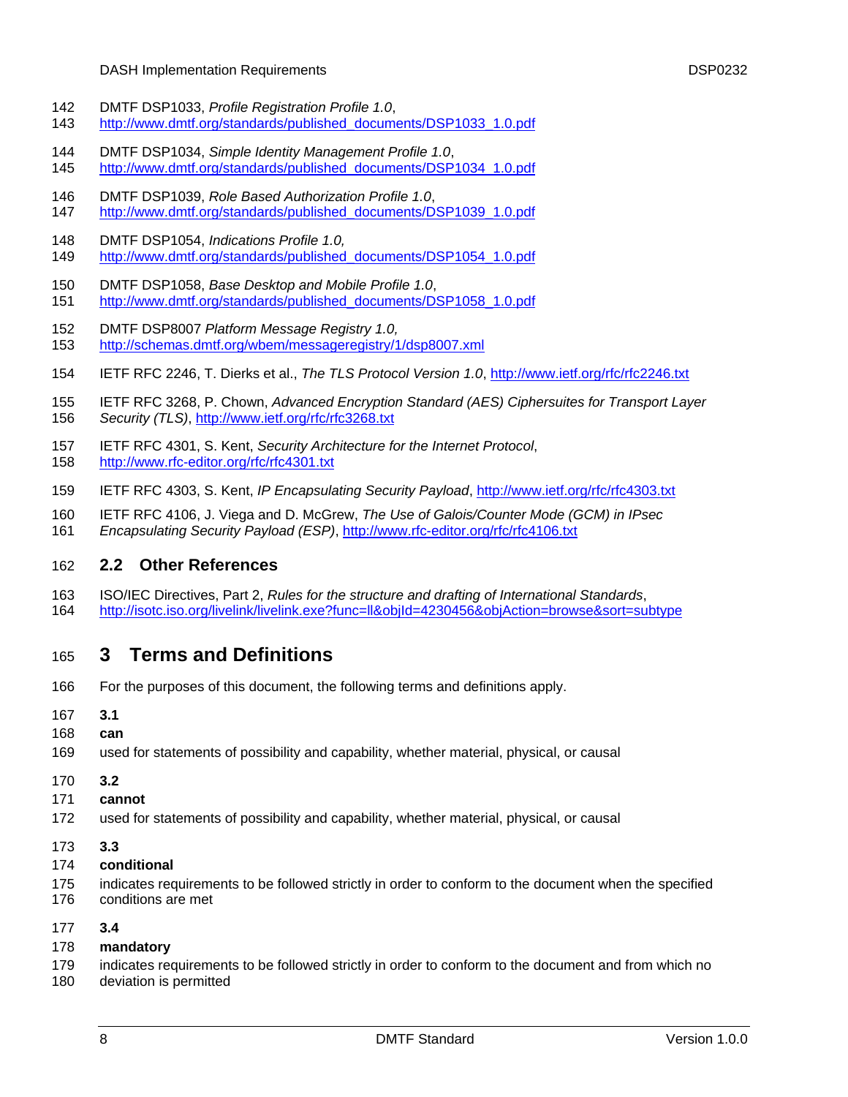#### DASH Implementation Requirements DSP0232

- <span id="page-7-0"></span>142 DMTF DSP1033, *Profile Registration Profile 1.0*,
- 143 [http://www.dmtf.org/standards/published\\_documents/DSP1033\\_1.0.pdf](http://www.dmtf.org/standards/published_documents/DSP1033_1.0.pdf)
- 144 DMTF DSP1034, *Simple Identity Management Profile 1.0*,
- 145 [http://www.dmtf.org/standards/published\\_documents/DSP1034\\_1.0.pdf](http://www.dmtf.org/standards/published_documents/DSP1034_1.0.pdf)
- 146 DMTF DSP1039, *Role Based Authorization Profile 1.0*, 147 [http://www.dmtf.org/standards/published\\_documents/DSP1039\\_1.0.pdf](http://www.dmtf.org/standards/published_documents/DSP1039_1.0.pdf)
- 148 DMTF DSP1054, *Indications Profile 1.0,*
- 149 [http://www.dmtf.org/standards/published\\_documents/DSP1054\\_1.0.pdf](http://www.dmtf.org/standards/published_documents/DSP1054_1.0.pdf)
- 150 DMTF DSP1058, *Base Desktop and Mobile Profile 1.0*,
- 151 [http://www.dmtf.org/standards/published\\_documents/DSP1058\\_1.0.pdf](http://www.dmtf.org/standards/published_documents/DSP1058_1.0.pdf)
- 152 DMTF DSP8007 *Platform Message Registry 1.0,*  153 <http://schemas.dmtf.org/wbem/messageregistry/1/dsp8007.xml>
- 154 IETF RFC 2246, T. Dierks et al., *The TLS Protocol Version 1.0*,<http://www.ietf.org/rfc/rfc2246.txt>
- 155 IETF RFC 3268, P. Chown, *Advanced Encryption Standard (AES) Ciphersuites for Transport Layer*  156 *Security (TLS)*,<http://www.ietf.org/rfc/rfc3268.txt>
- 157 IETF RFC 4301, S. Kent, *Security Architecture for the Internet Protocol*, 158 <http://www.rfc-editor.org/rfc/rfc4301.txt>
- 159 IETF RFC 4303, S. Kent, *IP Encapsulating Security Payload*,<http://www.ietf.org/rfc/rfc4303.txt>
- 160 IETF RFC 4106, J. Viega and D. McGrew, *The Use of Galois/Counter Mode (GCM) in IPsec*
- 161 *Encapsulating Security Payload (ESP)*, <http://www.rfc-editor.org/rfc/rfc4106.txt>

#### 162 **2.2 Other References**

163 ISO/IEC Directives, Part 2, *Rules for the structure and drafting of International Standards*, 164 <http://isotc.iso.org/livelink/livelink.exe?func=ll&objId=4230456&objAction=browse&sort=subtype>

## 165 **3 Terms and Definitions**

- 166 For the purposes of this document, the following terms and definitions apply.
- 167 **3.1**
- 168 **can**
- 169 used for statements of possibility and capability, whether material, physical, or causal
- 170 **3.2**
- 171 **cannot**
- 172 used for statements of possibility and capability, whether material, physical, or causal
- 173 **3.3**
- 174 **conditional**
- 175 indicates requirements to be followed strictly in order to conform to the document when the specified
- 176 conditions are met
- 177 **3.4**

#### 178 **mandatory**

- 179 indicates requirements to be followed strictly in order to conform to the document and from which no
- 180 deviation is permitted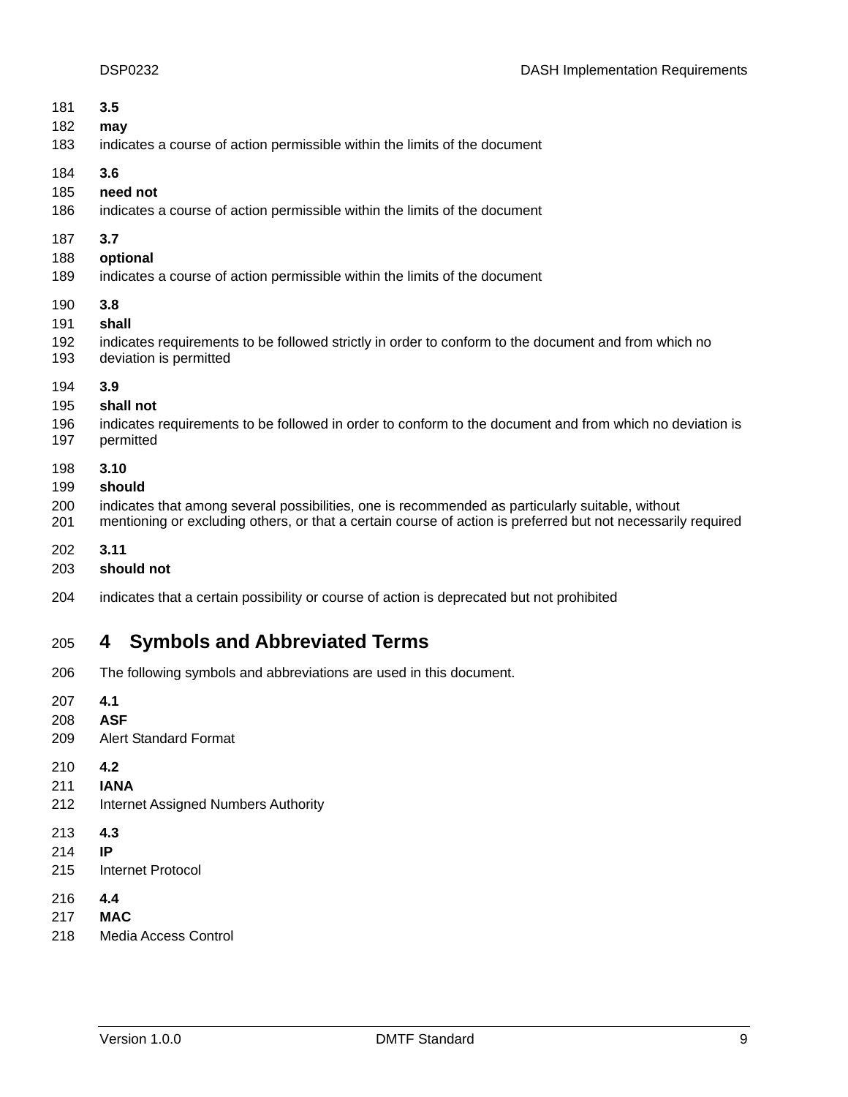<span id="page-8-0"></span>

| 181<br>182<br>183        | 3.5<br>may<br>indicates a course of action permissible within the limits of the document                                                                                                                                           |
|--------------------------|------------------------------------------------------------------------------------------------------------------------------------------------------------------------------------------------------------------------------------|
| 184<br>185<br>186        | 3.6<br>need not<br>indicates a course of action permissible within the limits of the document                                                                                                                                      |
| 187<br>188<br>189        | 3.7<br>optional<br>indicates a course of action permissible within the limits of the document                                                                                                                                      |
| 190<br>191<br>192<br>193 | 3.8<br>shall<br>indicates requirements to be followed strictly in order to conform to the document and from which no<br>deviation is permitted                                                                                     |
| 194<br>195<br>196<br>197 | 3.9<br>shall not<br>indicates requirements to be followed in order to conform to the document and from which no deviation is<br>permitted                                                                                          |
| 198<br>199<br>200<br>201 | 3.10<br>should<br>indicates that among several possibilities, one is recommended as particularly suitable, without<br>mentioning or excluding others, or that a certain course of action is preferred but not necessarily required |
|                          |                                                                                                                                                                                                                                    |

202 **3.11** 

- 203 **should not**
- 204 indicates that a certain possibility or course of action is deprecated but not prohibited

## 205 **4 Symbols and Abbreviated Terms**

- 206 The following symbols and abbreviations are used in this document.
- 207 **4.1**
- 208 **ASF**
- 209 Alert Standard Format
- 210 **4.2**
- 211 **IANA**
- 212 Internet Assigned Numbers Authority
- 213 **4.3**
- 214 **IP**
- 215 Internet Protocol
- 216 **4.4**
- 217 **MAC**
- 218 Media Access Control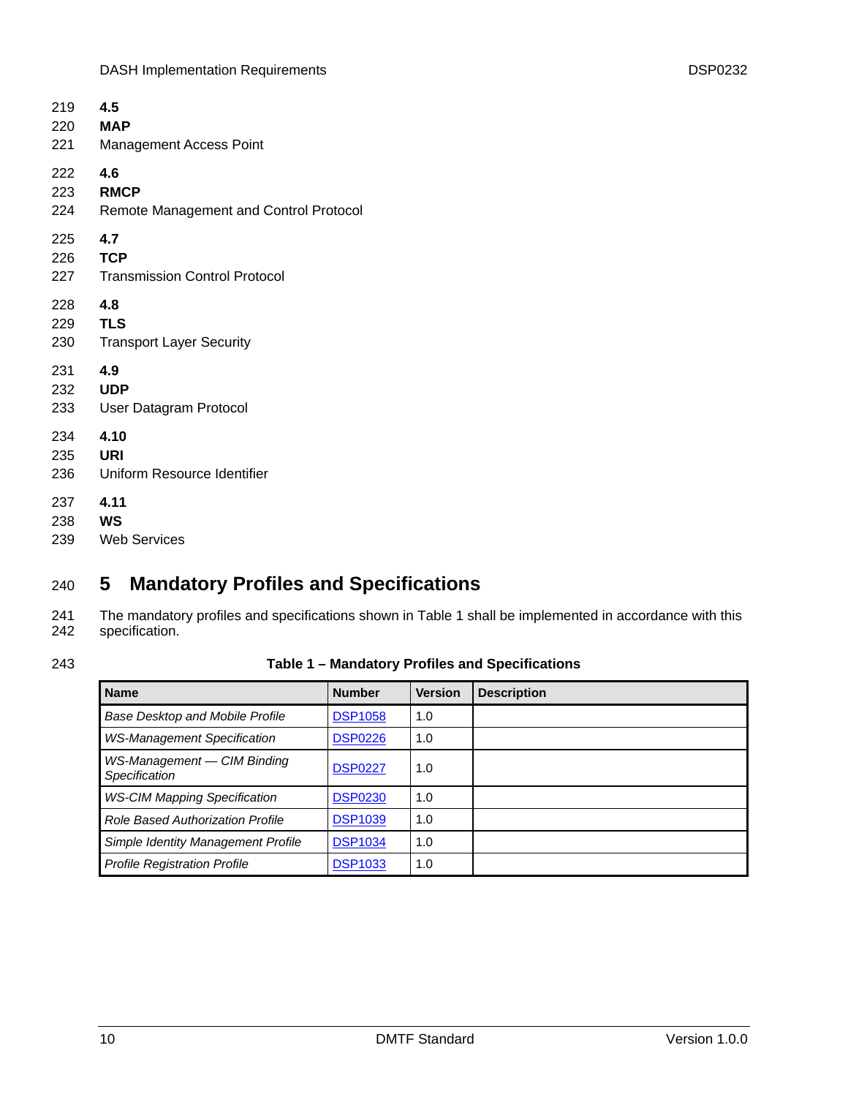<span id="page-9-0"></span>

| 219 | 4.5                                    |
|-----|----------------------------------------|
| 220 | <b>MAP</b>                             |
| 221 | <b>Management Access Point</b>         |
| 222 | 4.6                                    |
| 223 | <b>RMCP</b>                            |
| 224 | Remote Management and Control Protocol |
| 225 | 4.7                                    |
| 226 | <b>TCP</b>                             |
| 227 | <b>Transmission Control Protocol</b>   |
| 228 | 4.8                                    |
| 229 | <b>TLS</b>                             |
| 230 | <b>Transport Layer Security</b>        |
| 231 | 4.9                                    |
| 232 | <b>UDP</b>                             |
| 233 | User Datagram Protocol                 |
| 234 | 4.10                                   |
| 235 | URI                                    |
| 236 | Uniform Resource Identifier            |
| 237 | 4.11                                   |
| 238 | WS                                     |
| 239 | <b>Web Services</b>                    |

## <span id="page-9-1"></span>240 **5 Mandatory Profiles and Specifications**

241 242 The mandatory profiles and specifications shown in [Table 1](#page-9-2) shall be implemented in accordance with this specification.

<span id="page-9-2"></span>243

### **Table 1 – Mandatory Profiles and Specifications**

| <b>Name</b>                                  | <b>Number</b>  | <b>Version</b> | <b>Description</b> |
|----------------------------------------------|----------------|----------------|--------------------|
| <b>Base Desktop and Mobile Profile</b>       | <b>DSP1058</b> | 1.0            |                    |
| <b>WS-Management Specification</b>           | <b>DSP0226</b> | 1.0            |                    |
| WS-Management - CIM Binding<br>Specification | <b>DSP0227</b> | 1.0            |                    |
| <b>WS-CIM Mapping Specification</b>          | <b>DSP0230</b> | 1.0            |                    |
| <b>Role Based Authorization Profile</b>      | <b>DSP1039</b> | 1.0            |                    |
| Simple Identity Management Profile           | <b>DSP1034</b> | 1.0            |                    |
| <b>Profile Registration Profile</b>          | <b>DSP1033</b> | 1.0            |                    |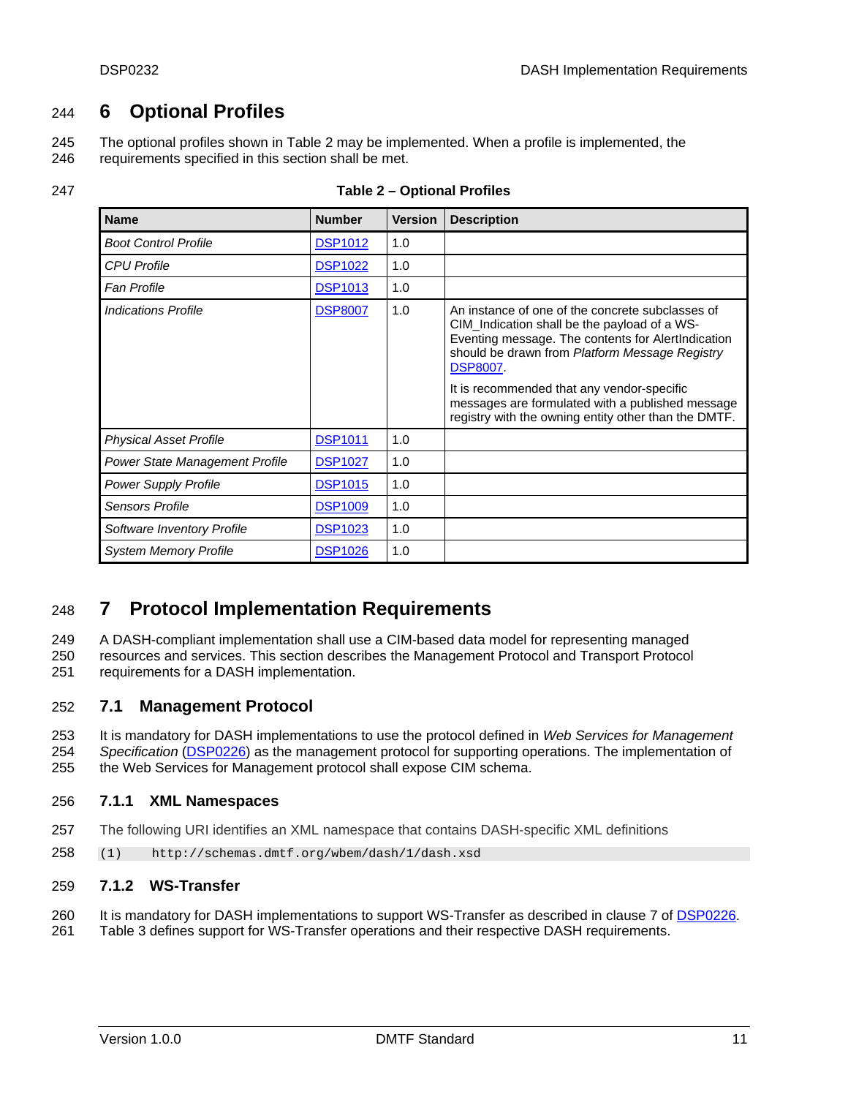## <span id="page-10-1"></span><span id="page-10-0"></span>244 **6 Optional Profiles**

The optional profiles shown in [Table 2](#page-10-3) may be implemented. When a profile is implemented, the requirements specified in this section shall be met. 245 246

<span id="page-10-3"></span>

| 247 | Table 2 – Optional Profiles |
|-----|-----------------------------|
|     |                             |

| <b>Name</b>                           | <b>Number</b>  | <b>Version</b> | <b>Description</b>                                                                                                                                                                                                                                                                                                                                                                   |
|---------------------------------------|----------------|----------------|--------------------------------------------------------------------------------------------------------------------------------------------------------------------------------------------------------------------------------------------------------------------------------------------------------------------------------------------------------------------------------------|
| <b>Boot Control Profile</b>           | <b>DSP1012</b> | 1.0            |                                                                                                                                                                                                                                                                                                                                                                                      |
| <b>CPU Profile</b>                    | <b>DSP1022</b> | 1.0            |                                                                                                                                                                                                                                                                                                                                                                                      |
| <b>Fan Profile</b>                    | <b>DSP1013</b> | 1.0            |                                                                                                                                                                                                                                                                                                                                                                                      |
| <b>Indications Profile</b>            | <b>DSP8007</b> | 1.0            | An instance of one of the concrete subclasses of<br>CIM_Indication shall be the payload of a WS-<br>Eventing message. The contents for AlertIndication<br>should be drawn from Platform Message Registry<br><b>DSP8007</b><br>It is recommended that any vendor-specific<br>messages are formulated with a published message<br>registry with the owning entity other than the DMTF. |
| <b>Physical Asset Profile</b>         | <b>DSP1011</b> | 1.0            |                                                                                                                                                                                                                                                                                                                                                                                      |
| <b>Power State Management Profile</b> | <b>DSP1027</b> | 1.0            |                                                                                                                                                                                                                                                                                                                                                                                      |
| <b>Power Supply Profile</b>           | <b>DSP1015</b> | 1.0            |                                                                                                                                                                                                                                                                                                                                                                                      |
| <b>Sensors Profile</b>                | <b>DSP1009</b> | 1.0            |                                                                                                                                                                                                                                                                                                                                                                                      |
| Software Inventory Profile            | <b>DSP1023</b> | 1.0            |                                                                                                                                                                                                                                                                                                                                                                                      |
| <b>System Memory Profile</b>          | <b>DSP1026</b> | 1.0            |                                                                                                                                                                                                                                                                                                                                                                                      |

## <span id="page-10-2"></span>248 **7 Protocol Implementation Requirements**

A DASH-compliant implementation shall use a CIM-based data model for representing managed resources and services. This section describes the Management Protocol and Transport Protocol 249 250

requirements for a DASH implementation. 251

#### 252 **7.1 Management Protocol**

253 It is mandatory for DASH implementations to use the protocol defined in *Web Services for Management Specification* ([DSP0226\)](#page-6-0) as the management protocol for supporting operations. The implementation of the Web Services for Management protocol shall expose CIM schema. 254 255

#### 256 **7.1.1 XML Namespaces**

- 257 The following URI identifies an XML namespace that contains DASH-specific XML definitions
- 258 (1) http://schemas.dmtf.org/wbem/dash/1/dash.xsd

#### 259 **7.1.2 WS-Transfer**

260 It is mandatory for DASH implementations to support WS-Transfer as described in clause 7 of [DSP0226.](#page-6-0)

261 [Table 3](#page-11-1) defines support for WS-Transfer operations and their respective DASH requirements.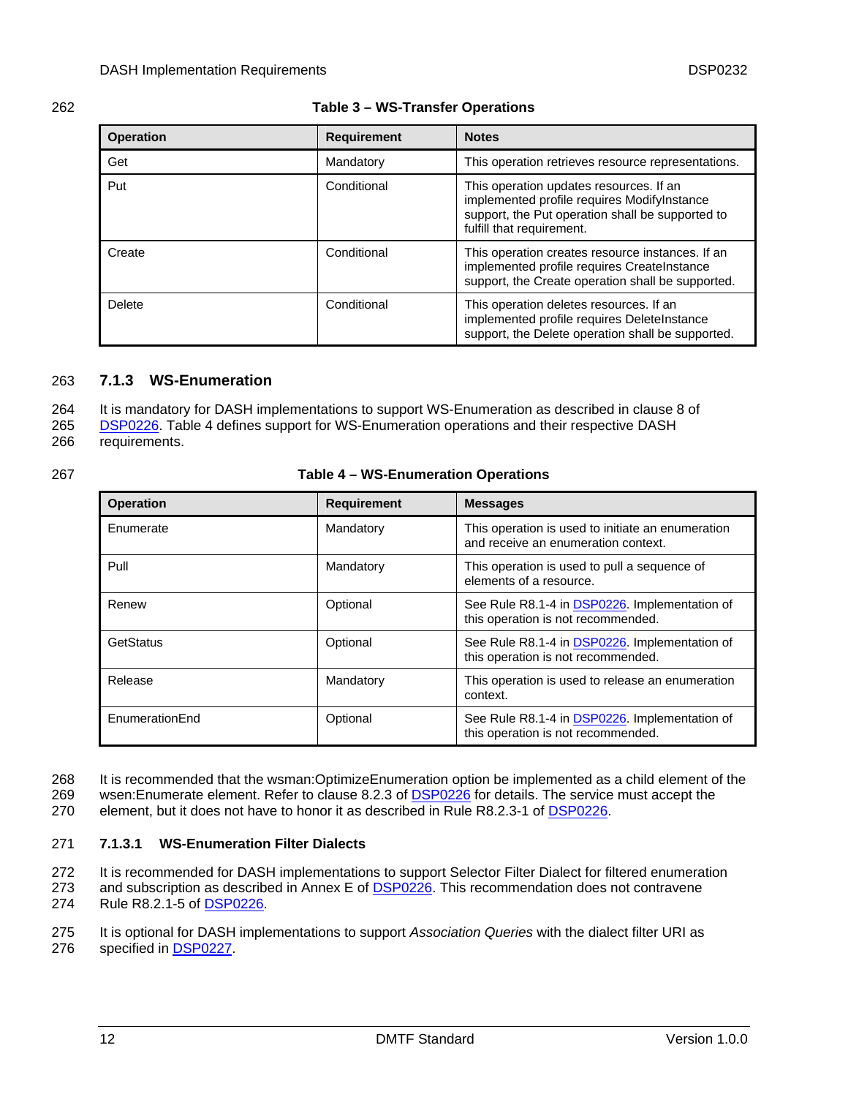<span id="page-11-1"></span><span id="page-11-0"></span>

| v.<br>۰. |
|----------|
|----------|

#### 262 **Table 3 – WS-Transfer Operations**

| <b>Operation</b>   | <b>Requirement</b> | <b>Notes</b>                                                                                                                                                            |  |
|--------------------|--------------------|-------------------------------------------------------------------------------------------------------------------------------------------------------------------------|--|
| Get                | Mandatory          | This operation retrieves resource representations.                                                                                                                      |  |
| Put<br>Conditional |                    | This operation updates resources. If an<br>implemented profile requires ModifyInstance<br>support, the Put operation shall be supported to<br>fulfill that requirement. |  |
| Create             | Conditional        | This operation creates resource instances. If an<br>implemented profile requires CreateInstance<br>support, the Create operation shall be supported.                    |  |
| Delete             | Conditional        | This operation deletes resources. If an<br>implemented profile requires DeleteInstance<br>support, the Delete operation shall be supported.                             |  |

#### 263 **7.1.3 WS-Enumeration**

264 It is mandatory for DASH implementations to support WS-Enumeration as described in clause 8 of

[DSP0226.](#page-6-0) [Table 4](#page-11-2) defines support for WS-Enumeration operations and their respective DASH requirements. 265 266

<span id="page-11-2"></span>

#### 267 **Table 4 – WS-Enumeration Operations**

| <b>Operation</b> | <b>Requirement</b><br><b>Messages</b> |                                                                                          |  |
|------------------|---------------------------------------|------------------------------------------------------------------------------------------|--|
| Enumerate        | Mandatory                             | This operation is used to initiate an enumeration<br>and receive an enumeration context. |  |
| Pull             | Mandatory                             | This operation is used to pull a sequence of<br>elements of a resource.                  |  |
| Renew            | Optional                              | See Rule R8.1-4 in DSP0226. Implementation of<br>this operation is not recommended.      |  |
| GetStatus        | Optional                              | See Rule R8.1-4 in DSP0226. Implementation of<br>this operation is not recommended.      |  |
| Release          | Mandatory                             | This operation is used to release an enumeration<br>context.                             |  |
| EnumerationEnd   | Optional                              | See Rule R8.1-4 in DSP0226. Implementation of<br>this operation is not recommended.      |  |

It is recommended that the wsman:OptimizeEnumeration option be implemented as a child element of the 268

wsen:Enumerate element. Refer to clause 8.2.3 of [DSP0226](#page-6-0) for details. The service must accept the 269

270 element, but it does not have to honor it as described in Rule R8.2.3-1 of [DSP0226.](#page-6-0)

#### 271 **7.1.3.1 WS-Enumeration Filter Dialects**

272 It is recommended for DASH implementations to support Selector Filter Dialect for filtered enumeration

and subscription as described in Annex E of [DSP0226](#page-6-0). This recommendation does not contravene 274 Rule R8.2.1-5 of [DSP0226](#page-6-0). 273

275 It is optional for DASH implementations to support *Association Queries* with the dialect filter URI as

276 specified in [DSP0227.](#page-6-0)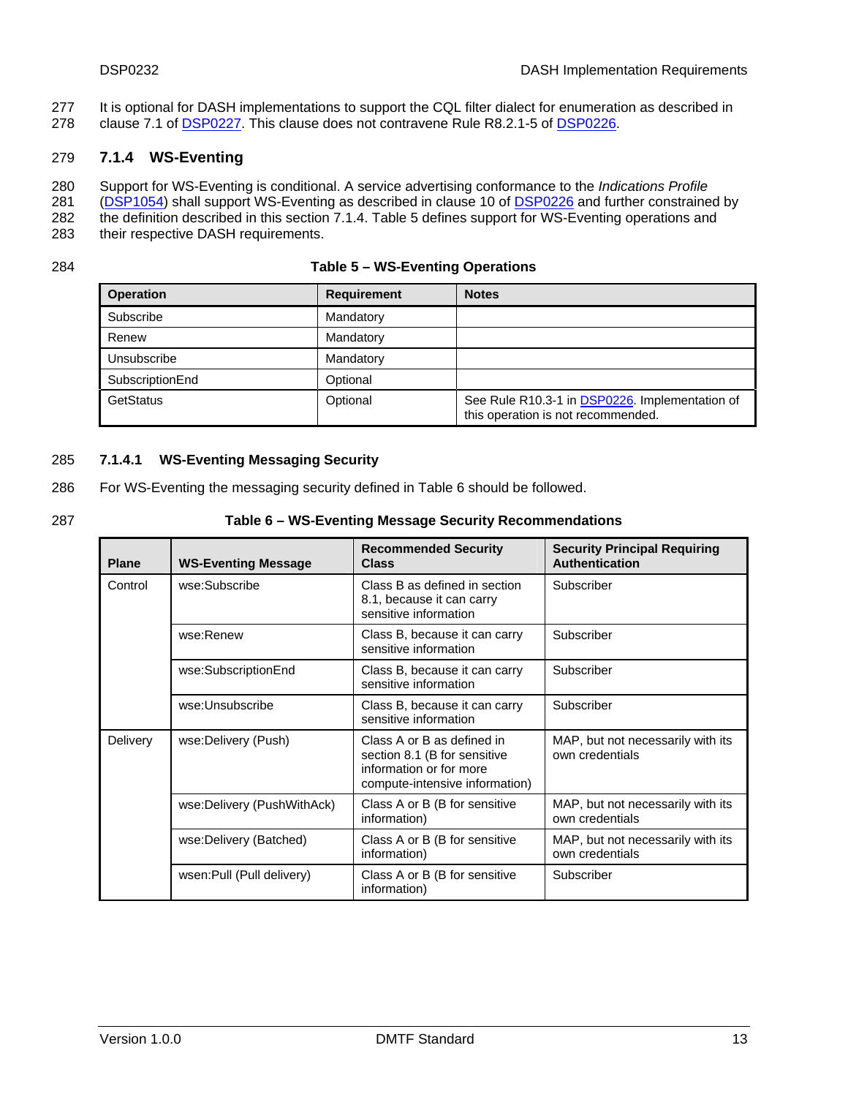- <span id="page-12-0"></span>It is optional for DASH implementations to support the CQL filter dialect for enumeration as described in 277
- 278 Clause 7.1 of [DSP0227](#page-6-0). This clause does not contravene Rule R8.2.1-5 of [DSP0226](#page-6-0).

#### 279 **7.1.4 WS-Eventing**

- 280 Support for WS-Eventing is conditional. A service advertising conformance to the *Indications Profile*
- [\(DSP1054](#page-7-0)) shall support WS-Eventing as described in clause 10 of [DSP0226](#page-6-0) and further constrained by 281
- the definition described in this section 7.1.4. [Table 5](#page-12-1) defines support for WS-Eventing operations and 282
- 283 their respective DASH requirements.

<span id="page-12-1"></span>284

#### **Table 5 – WS-Eventing Operations**

| <b>Operation</b> | <b>Requirement</b> | <b>Notes</b>                                                                         |
|------------------|--------------------|--------------------------------------------------------------------------------------|
| Subscribe        | Mandatory          |                                                                                      |
| Renew            | Mandatory          |                                                                                      |
| Unsubscribe      | Mandatory          |                                                                                      |
| SubscriptionEnd  | Optional           |                                                                                      |
| GetStatus        | Optional           | See Rule R10.3-1 in DSP0226. Implementation of<br>this operation is not recommended. |

#### <span id="page-12-3"></span>285 **7.1.4.1 WS-Eventing Messaging Security**

- 286 For WS-Eventing the messaging security defined in [Table 6](#page-12-2) should be followed.
- 

#### <span id="page-12-2"></span>287 **Table 6 – WS-Eventing Message Security Recommendations**

| <b>Plane</b> | <b>WS-Eventing Message</b> | <b>Recommended Security</b><br><b>Class</b>                                                                             | <b>Security Principal Requiring</b><br><b>Authentication</b> |
|--------------|----------------------------|-------------------------------------------------------------------------------------------------------------------------|--------------------------------------------------------------|
| Control      | wse:Subscribe              | Class B as defined in section<br>8.1, because it can carry<br>sensitive information                                     | Subscriber                                                   |
|              | wse:Renew                  | Class B, because it can carry<br>sensitive information                                                                  | Subscriber                                                   |
|              | wse:SubscriptionEnd        | Class B, because it can carry<br>sensitive information                                                                  | Subscriber                                                   |
|              | wse:Unsubscribe            | Class B, because it can carry<br>sensitive information                                                                  | Subscriber                                                   |
| Delivery     | wse:Delivery (Push)        | Class A or B as defined in<br>section 8.1 (B for sensitive<br>information or for more<br>compute-intensive information) | MAP, but not necessarily with its<br>own credentials         |
|              | wse:Delivery (PushWithAck) | Class A or B (B for sensitive<br>information)                                                                           | MAP, but not necessarily with its<br>own credentials         |
|              | wse:Delivery (Batched)     | Class A or B (B for sensitive<br>information)                                                                           | MAP, but not necessarily with its<br>own credentials         |
|              | wsen: Pull (Pull delivery) | Class A or B (B for sensitive<br>information)                                                                           | Subscriber                                                   |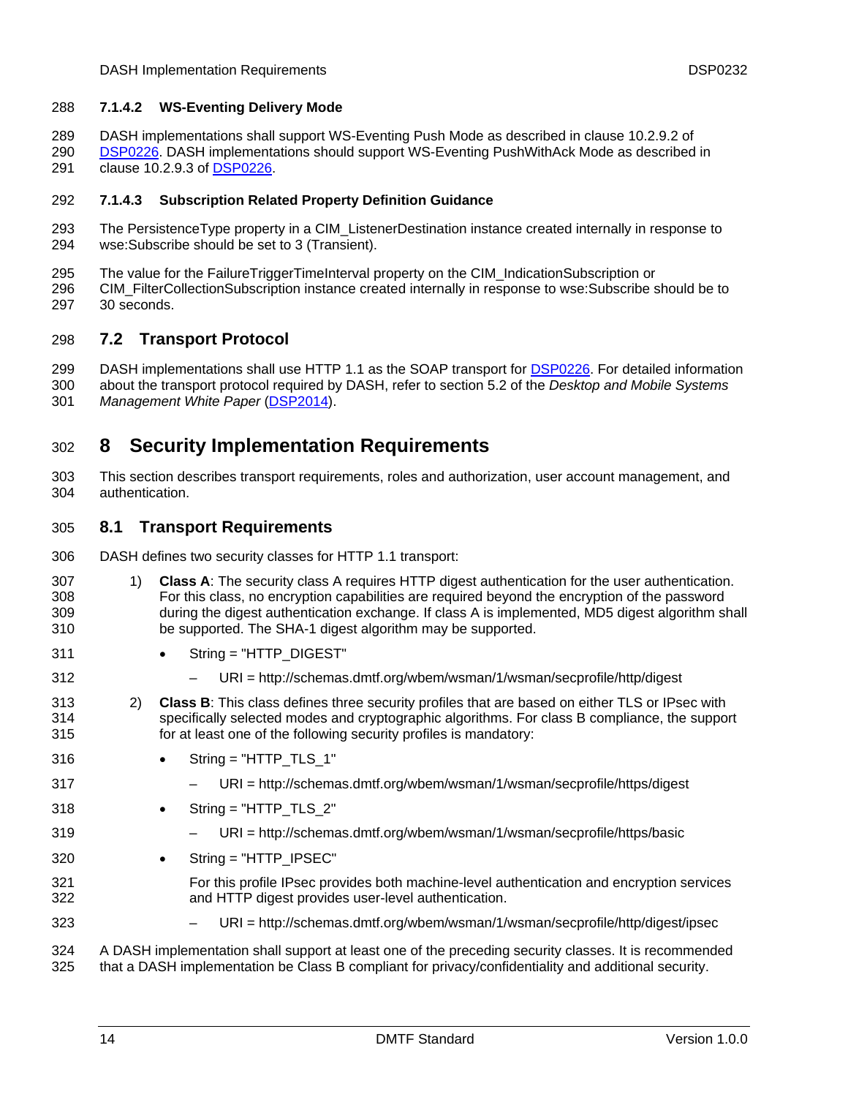#### <span id="page-13-0"></span>288 **7.1.4.2 WS-Eventing Delivery Mode**

- 289 DASH implementations shall support WS-Eventing Push Mode as described in clause 10.2.9.2 of
- [DSP0226.](#page-6-0) DASH implementations should support WS-Eventing PushWithAck Mode as described in 291 clause 10.2.9.3 of [DSP0226](#page-6-0). 290

#### 292 **7.1.4.3 Subscription Related Property Definition Guidance**

- 293 294 The PersistenceType property in a CIM\_ListenerDestination instance created internally in response to wse:Subscribe should be set to 3 (Transient).
- 295 The value for the FailureTriggerTimeInterval property on the CIM\_IndicationSubscription or
- 296 297 CIM\_FilterCollectionSubscription instance created internally in response to wse:Subscribe should be to 30 seconds.

#### 298 **7.2 Transport Protocol**

DASH implementations shall use HTTP 1.1 as the SOAP transport for [DSP0226](#page-6-0). For detailed information about the transport protocol required by DASH, refer to section 5.2 of the *Desktop and Mobile Systems*  299 300

301 Management White Paper ([DSP2014](#page-21-0)).

## <span id="page-13-1"></span>302 **8 Security Implementation Requirements**

303 304 This section describes transport requirements, roles and authorization, user account management, and authentication.

#### <span id="page-13-2"></span>305 **8.1 Transport Requirements**

- 306 DASH defines two security classes for HTTP 1.1 transport:
- 307 308 309 310 1) **Class A**: The security class A requires HTTP digest authentication for the user authentication. For this class, no encryption capabilities are required beyond the encryption of the password during the digest authentication exchange. If class A is implemented, MD5 digest algorithm shall be supported. The SHA-1 digest algorithm may be supported.
- 311 String = "HTTP\_DIGEST"
	- URI = http://schemas.dmtf.org/wbem/wsman/1/wsman/secprofile/http/digest
- 313 314 315 2) **Class B**: This class defines three security profiles that are based on either TLS or IPsec with specifically selected modes and cryptographic algorithms. For class B compliance, the support for at least one of the following security profiles is mandatory:
- 316  $String = "HTTP_TLS_1"$
- 317

323

312

- URI = http://schemas.dmtf.org/wbem/wsman/1/wsman/secprofile/https/digest
- 318 String = "HTTP\_TLS\_2"
- 319
- 
- URI = http://schemas.dmtf.org/wbem/wsman/1/wsman/secprofile/https/basic
- 320 • String = "HTTP\_IPSEC"
- 321 322 For this profile IPsec provides both machine-level authentication and encryption services and HTTP digest provides user-level authentication.
	- URI = http://schemas.dmtf.org/wbem/wsman/1/wsman/secprofile/http/digest/ipsec

324 325 A DASH implementation shall support at least one of the preceding security classes. It is recommended that a DASH implementation be Class B compliant for privacy/confidentiality and additional security.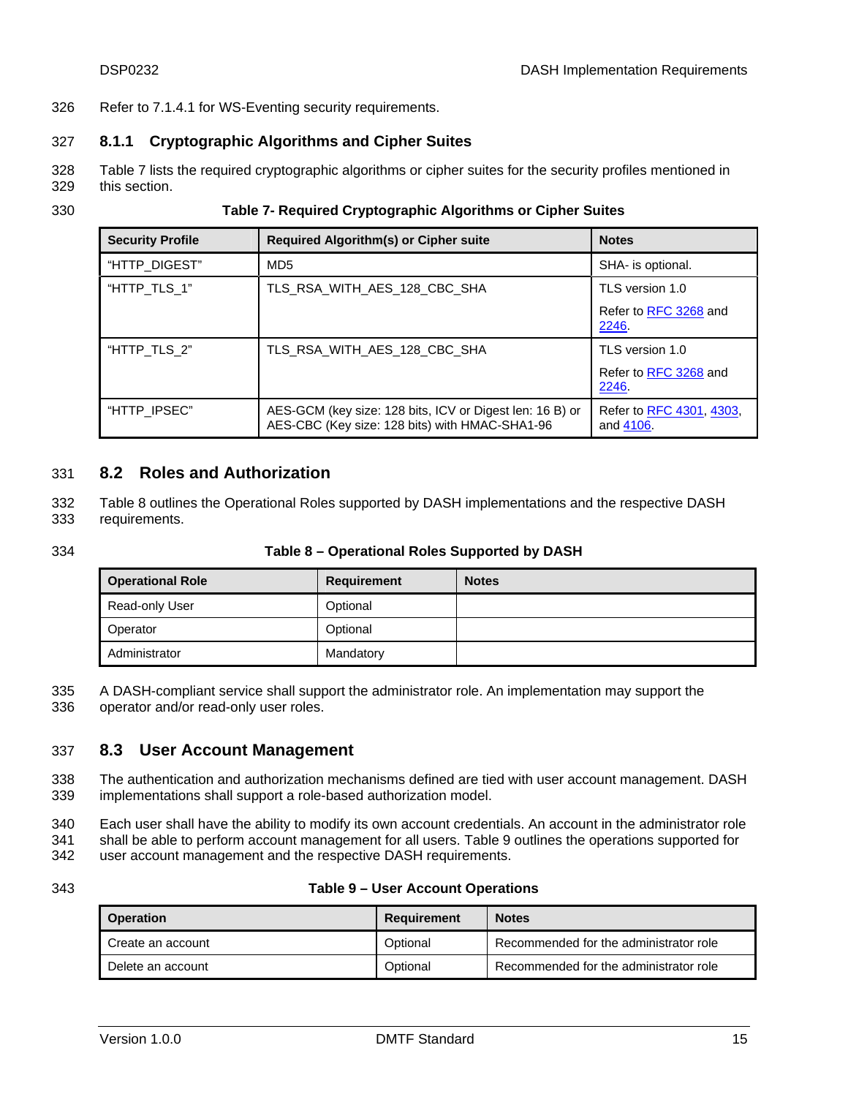<span id="page-14-0"></span>326 Refer to [7.1.4.1](#page-12-3) for WS-Eventing security requirements.

### 327 **8.1.1 Cryptographic Algorithms and Cipher Suites**

- 328 329 [Table 7](#page-14-1) lists the required cryptographic algorithms or cipher suites for the security profiles mentioned in this section.
- <span id="page-14-1"></span>330

#### **Table 7- Required Cryptographic Algorithms or Cipher Suites**

| <b>Security Profile</b> | <b>Required Algorithm(s) or Cipher suite</b>                                                               | <b>Notes</b>                          |
|-------------------------|------------------------------------------------------------------------------------------------------------|---------------------------------------|
| "HTTP DIGEST"           | MD <sub>5</sub>                                                                                            | SHA- is optional.                     |
| "HTTP TLS 1"            | TLS RSA WITH AES 128 CBC SHA                                                                               | TLS version 1.0                       |
|                         |                                                                                                            | Refer to RFC 3268 and<br>2246.        |
| "HTTP TLS 2"            | TLS RSA WITH AES 128 CBC SHA                                                                               | TLS version 1.0                       |
|                         |                                                                                                            | Refer to RFC 3268 and<br>2246.        |
| "HTTP IPSEC"            | AES-GCM (key size: 128 bits, ICV or Digest len: 16 B) or<br>AES-CBC (Key size: 128 bits) with HMAC-SHA1-96 | Refer to RFC 4301, 4303,<br>and 4106. |

#### 331 **8.2 Roles and Authorization**

- [Table 8](#page-14-2) outlines the Operational Roles supported by DASH implementations and the respective DASH requirements. 332 333
- 

#### <span id="page-14-2"></span>334 **Table 8 – Operational Roles Supported by DASH**

| <b>Operational Role</b> | Requirement | <b>Notes</b> |
|-------------------------|-------------|--------------|
| Read-only User          | Optional    |              |
| Operator                | Optional    |              |
| Administrator           | Mandatory   |              |

A DASH-compliant service shall support the administrator role. An implementation may support the operator and/or read-only user roles. 335 336

### 337 **8.3 User Account Management**

338 339 The authentication and authorization mechanisms defined are tied with user account management. DASH implementations shall support a role-based authorization model.

340 341 Each user shall have the ability to modify its own account credentials. An account in the administrator role shall be able to perform account management for all users. [Table 9](#page-14-3) outlines the operations supported for

- 342 user account management and the respective DASH requirements.
- <span id="page-14-3"></span>343

#### **Table 9 – User Account Operations**

| <b>Operation</b>  | Requirement | <b>Notes</b>                           |
|-------------------|-------------|----------------------------------------|
| Create an account | Optional    | Recommended for the administrator role |
| Delete an account | Optional    | Recommended for the administrator role |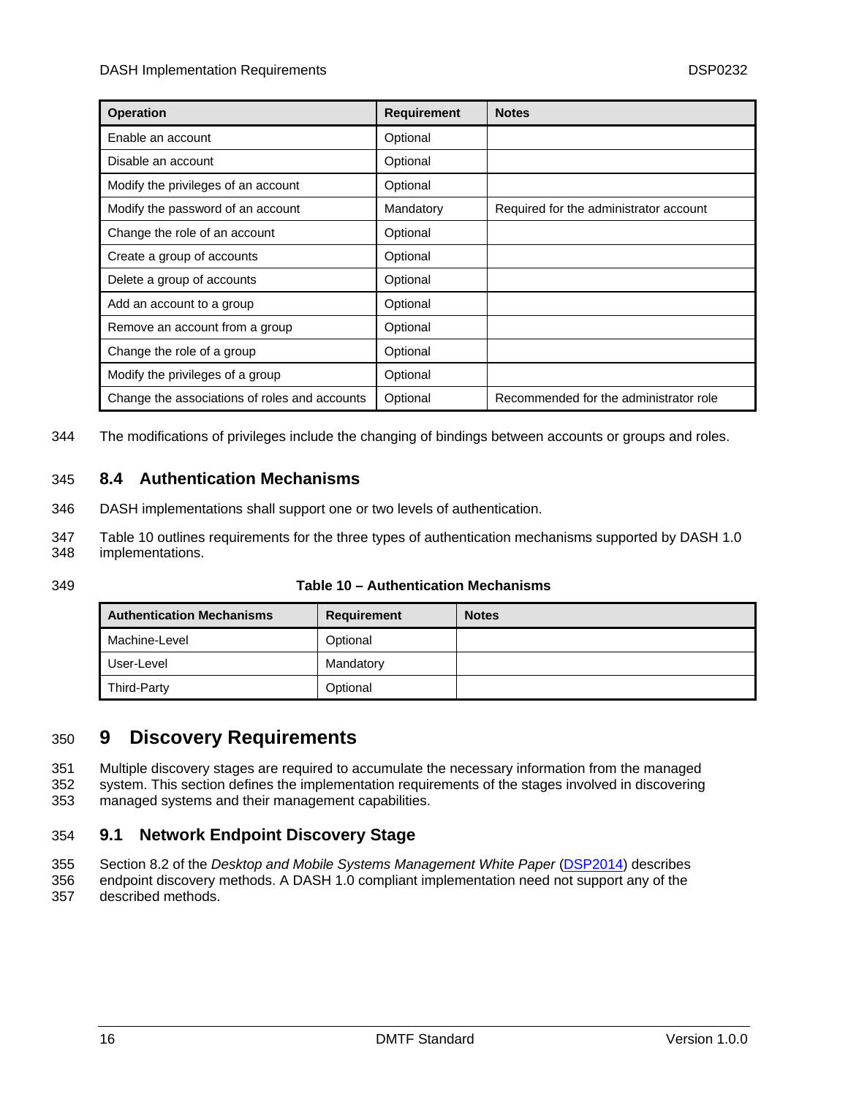<span id="page-15-0"></span>

| <b>Operation</b>                              | <b>Requirement</b> | <b>Notes</b>                           |
|-----------------------------------------------|--------------------|----------------------------------------|
| Enable an account                             | Optional           |                                        |
| Disable an account                            | Optional           |                                        |
| Modify the privileges of an account           | Optional           |                                        |
| Modify the password of an account             | Mandatory          | Required for the administrator account |
| Change the role of an account                 | Optional           |                                        |
| Create a group of accounts                    | Optional           |                                        |
| Delete a group of accounts                    | Optional           |                                        |
| Add an account to a group                     | Optional           |                                        |
| Remove an account from a group                | Optional           |                                        |
| Change the role of a group                    | Optional           |                                        |
| Modify the privileges of a group              | Optional           |                                        |
| Change the associations of roles and accounts | Optional           | Recommended for the administrator role |

344 The modifications of privileges include the changing of bindings between accounts or groups and roles.

### 345 **8.4 Authentication Mechanisms**

- 346 DASH implementations shall support one or two levels of authentication.
- 347 348 [Table 10](#page-15-2) outlines requirements for the three types of authentication mechanisms supported by DASH 1.0 implementations.
- <span id="page-15-2"></span>349

#### **Table 10 – Authentication Mechanisms**

| <b>Authentication Mechanisms</b> | Requirement | <b>Notes</b> |
|----------------------------------|-------------|--------------|
| Machine-Level                    | Optional    |              |
| User-Level                       | Mandatory   |              |
| Third-Party                      | Optional    |              |

## <span id="page-15-1"></span>350 **9 Discovery Requirements**

- Multiple discovery stages are required to accumulate the necessary information from the managed system. This section defines the implementation requirements of the stages involved in discovering 351 352
- managed systems and their management capabilities. 353

## 354 **9.1 Network Endpoint Discovery Stage**

- Section 8.2 of the *Desktop and Mobile Systems Management White Paper* [\(DSP2014](#page-21-0)) describes 355
- endpoint discovery methods. A DASH 1.0 compliant implementation need not support any of the described methods. 356 357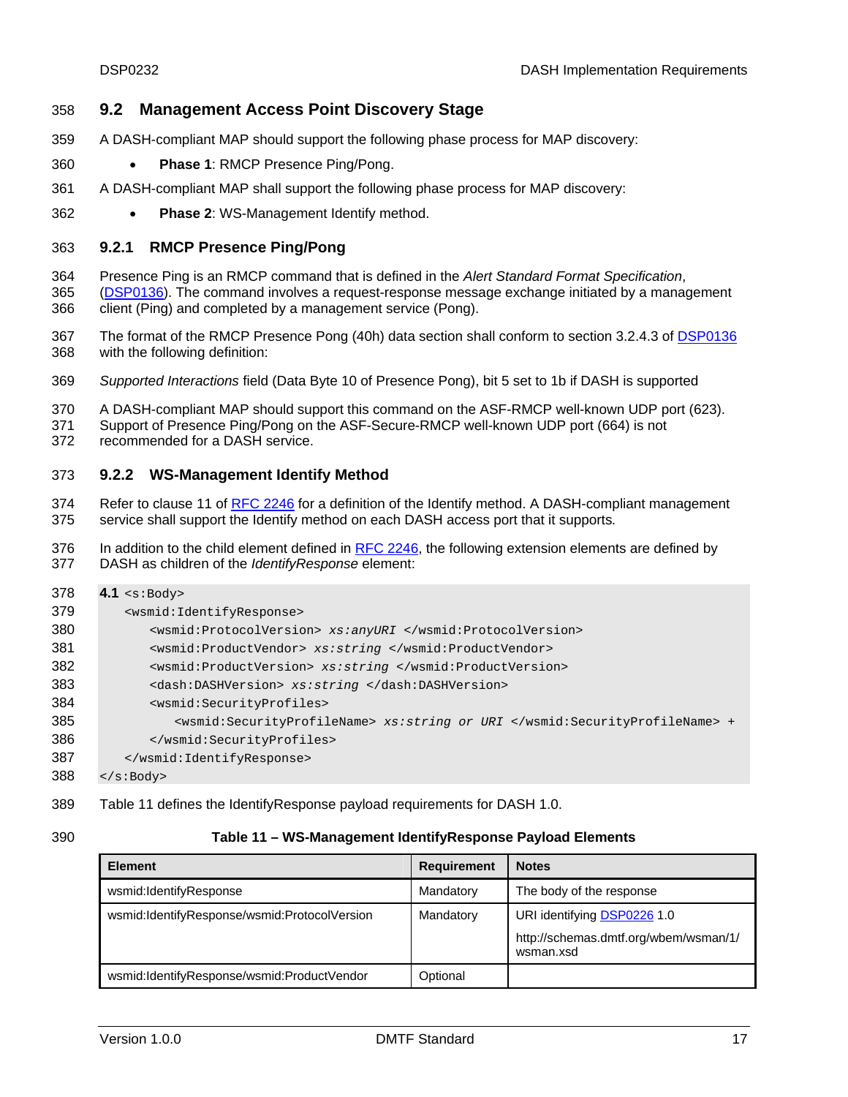#### <span id="page-16-0"></span>358 **9.2 Management Access Point Discovery Stage**

- 359 A DASH-compliant MAP should support the following phase process for MAP discovery:
- 360 • **Phase 1**: RMCP Presence Ping/Pong.
- 361 A DASH-compliant MAP shall support the following phase process for MAP discovery:
- 362 • **Phase 2**: WS-Management Identify method.

#### 363 **9.2.1 RMCP Presence Ping/Pong**

364 Presence Ping is an RMCP command that is defined in the *Alert Standard Format Specification*, [\(DSP0136](#page-6-0)). The command involves a request-response message exchange initiated by a management client (Ping) and completed by a management service (Pong). 365 366

- The format of the RMCP Presence Pong (40h) data section shall conform to section 3.2.4.3 of [DSP0136](#page-6-0) with the following definition: 367 368
- 369 *Supported Interactions* field (Data Byte 10 of Presence Pong), bit 5 set to 1b if DASH is supported

370 A DASH-compliant MAP should support this command on the ASF-RMCP well-known UDP port (623).

371 Support of Presence Ping/Pong on the ASF-Secure-RMCP well-known UDP port (664) is not

372 recommended for a DASH service.

#### 373 **9.2.2 WS-Management Identify Method**

Refer to clause 11 of [RFC 2246](#page-7-0) for a definition of the Identify method. A DASH-compliant management service shall support the Identify method on each DASH access port that it supports*.* 374 375

In addition to the child element defined in [RFC 2246](#page-7-0), the following extension elements are defined by DASH as children of the *IdentifyResponse* element: 376 377

| 378 | 4.1 $\leq$ $\leq$ $\geq$ $\leq$                                             |  |  |
|-----|-----------------------------------------------------------------------------|--|--|
| 379 | <wsmid:identifyresponse></wsmid:identifyresponse>                           |  |  |
| 380 | <wsmid:protocolversion> xs:anyURI </wsmid:protocolversion>                  |  |  |
| 381 | <wsmid:productvendor> xs:string </wsmid:productvendor>                      |  |  |
| 382 | <wsmid:productversion> xs:string </wsmid:productversion>                    |  |  |
| 383 | <dash:dashversion> xs:string </dash:dashversion>                            |  |  |
| 384 | <wsmid:securityprofiles></wsmid:securityprofiles>                           |  |  |
| 385 | <wsmid:securityprofilename> xs:string or URI </wsmid:securityprofilename> + |  |  |
| 386 |                                                                             |  |  |
| 387 |                                                                             |  |  |
| 388 | $\langle$ s:Body>                                                           |  |  |

- 389 [Table 11](#page-16-1) defines the IdentifyResponse payload requirements for DASH 1.0.
- <span id="page-16-1"></span>390

#### **Table 11 – WS-Management IdentifyResponse Payload Elements**

| <b>Element</b>                               | Requirement | <b>Notes</b>                                       |
|----------------------------------------------|-------------|----------------------------------------------------|
| wsmid:IdentifyResponse                       | Mandatory   | The body of the response                           |
| wsmid:IdentifyResponse/wsmid:ProtocolVersion | Mandatory   | URI identifying DSP0226 1.0                        |
|                                              |             | http://schemas.dmtf.org/wbem/wsman/1/<br>wsman.xsd |
| wsmid:IdentifyResponse/wsmid:ProductVendor   | Optional    |                                                    |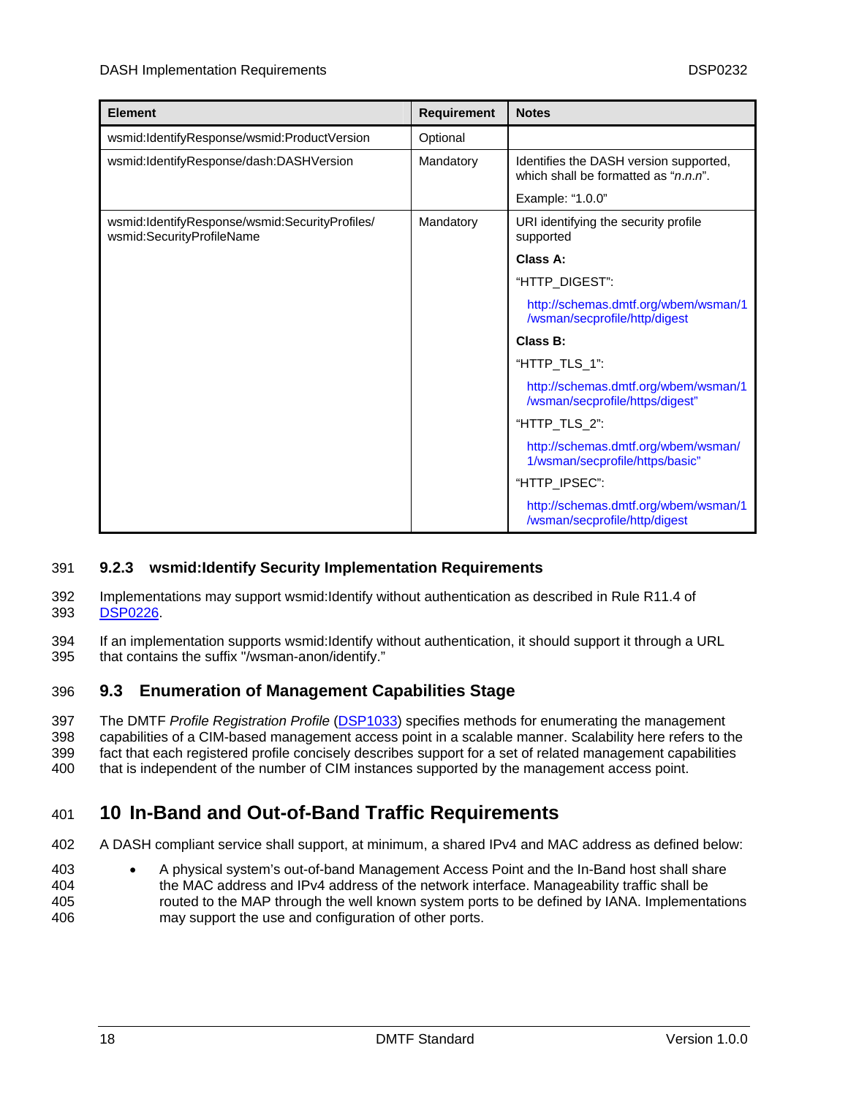<span id="page-17-0"></span>

| <b>Element</b>                                                              | <b>Requirement</b> | <b>Notes</b>                                                                            |
|-----------------------------------------------------------------------------|--------------------|-----------------------------------------------------------------------------------------|
| wsmid:IdentifyResponse/wsmid:ProductVersion                                 | Optional           |                                                                                         |
| wsmid:IdentifyResponse/dash:DASHVersion                                     | Mandatory          | Identifies the DASH version supported,<br>which shall be formatted as " <i>n.n.n</i> ". |
|                                                                             |                    | Example: "1.0.0"                                                                        |
| wsmid:IdentifyResponse/wsmid:SecurityProfiles/<br>wsmid:SecurityProfileName | Mandatory          | URI identifying the security profile<br>supported                                       |
|                                                                             |                    | Class A:                                                                                |
|                                                                             |                    | "HTTP_DIGEST":                                                                          |
|                                                                             |                    | http://schemas.dmtf.org/wbem/wsman/1<br>/wsman/secprofile/http/digest                   |
|                                                                             |                    | Class B:                                                                                |
|                                                                             |                    | "HTTP_TLS_1":                                                                           |
|                                                                             |                    | http://schemas.dmtf.org/wbem/wsman/1<br>/wsman/secprofile/https/digest"                 |
|                                                                             |                    | "HTTP_TLS_2":                                                                           |
|                                                                             |                    | http://schemas.dmtf.org/wbem/wsman/<br>1/wsman/secprofile/https/basic"                  |
|                                                                             |                    | "HTTP_IPSEC":                                                                           |
|                                                                             |                    | http://schemas.dmtf.org/wbem/wsman/1<br>/wsman/secprofile/http/digest                   |

#### 391 **9.2.3 wsmid:Identify Security Implementation Requirements**

- 392 Implementations may support wsmid:Identify without authentication as described in Rule R11.4 of 393 [DSP0226.](#page-6-0)
- 394 395 If an implementation supports wsmid:Identify without authentication, it should support it through a URL that contains the suffix "/wsman-anon/identify."

## 396 **9.3 Enumeration of Management Capabilities Stage**

The DMTF *Profile Registration Profile* [\(DSP1033](#page-7-0)) specifies methods for enumerating the management capabilities of a CIM-based management access point in a scalable manner. Scalability here refers to the fact that each registered profile concisely describes support for a set of related management capabilities that is independent of the number of CIM instances supported by the management access point. 397 398 399 400

## <span id="page-17-1"></span>401 **10 In-Band and Out-of-Band Traffic Requirements**

402 A DASH compliant service shall support, at minimum, a shared IPv4 and MAC address as defined below:

403 404 405 406 • A physical system's out-of-band Management Access Point and the In-Band host shall share the MAC address and IPv4 address of the network interface. Manageability traffic shall be routed to the MAP through the well known system ports to be defined by IANA. Implementations may support the use and configuration of other ports.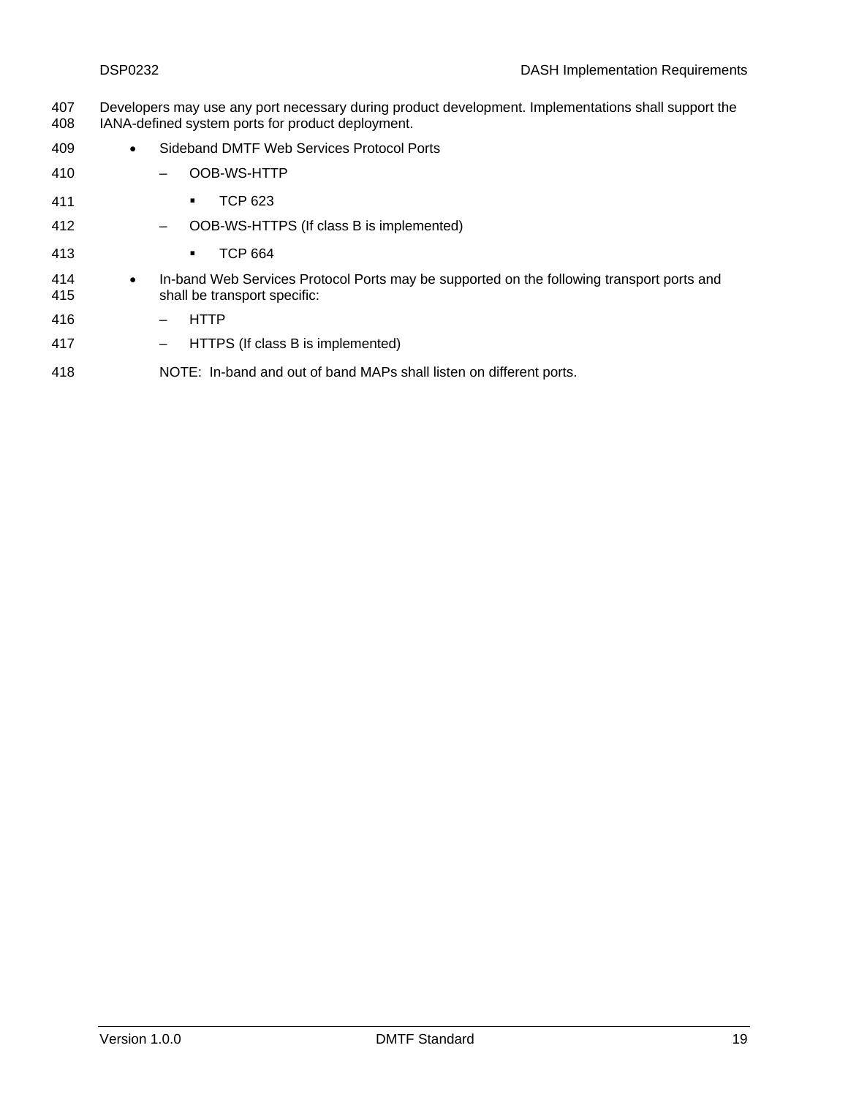- Developers may use any port necessary during product development. Implementations shall support the IANA-defined system ports for product deployment. 407 408
- 409 • Sideband DMTF Web Services Protocol Ports
- 410 – OOB-WS-HTTP
- 411 **TCP 623**
- 412 – OOB-WS-HTTPS (If class B is implemented)
- 413 **TCP 664**
- 414 415 • In-band Web Services Protocol Ports may be supported on the following transport ports and shall be transport specific:
- 416 – HTTP
- 417 – HTTPS (If class B is implemented)
- 418 NOTE: In-band and out of band MAPs shall listen on different ports.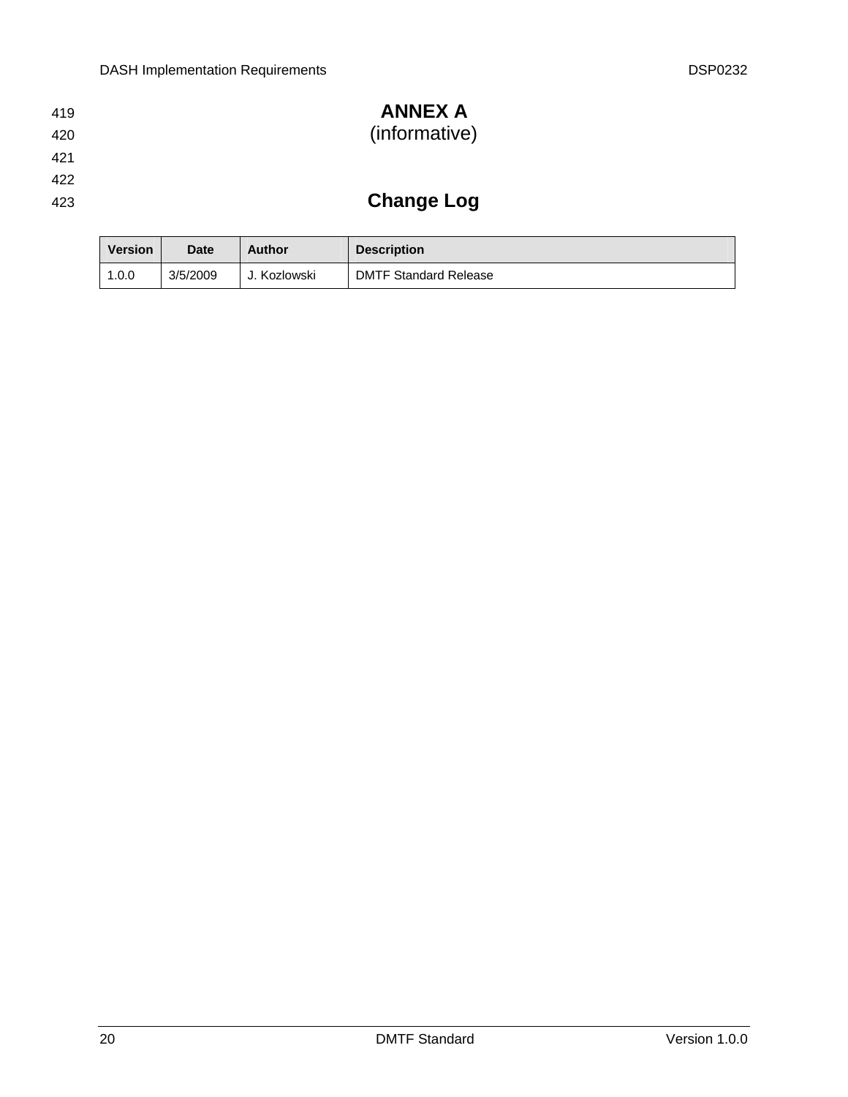#### <span id="page-19-0"></span>**ANNEX A**  ( informative) 419 420

- 421
- 422
- 423

# **Change Log**

| <b>Version</b> | <b>Date</b> | <b>Author</b> | <b>Description</b>           |
|----------------|-------------|---------------|------------------------------|
| 1.0.0          | 3/5/2009    | . Kozlowski   | <b>DMTF Standard Release</b> |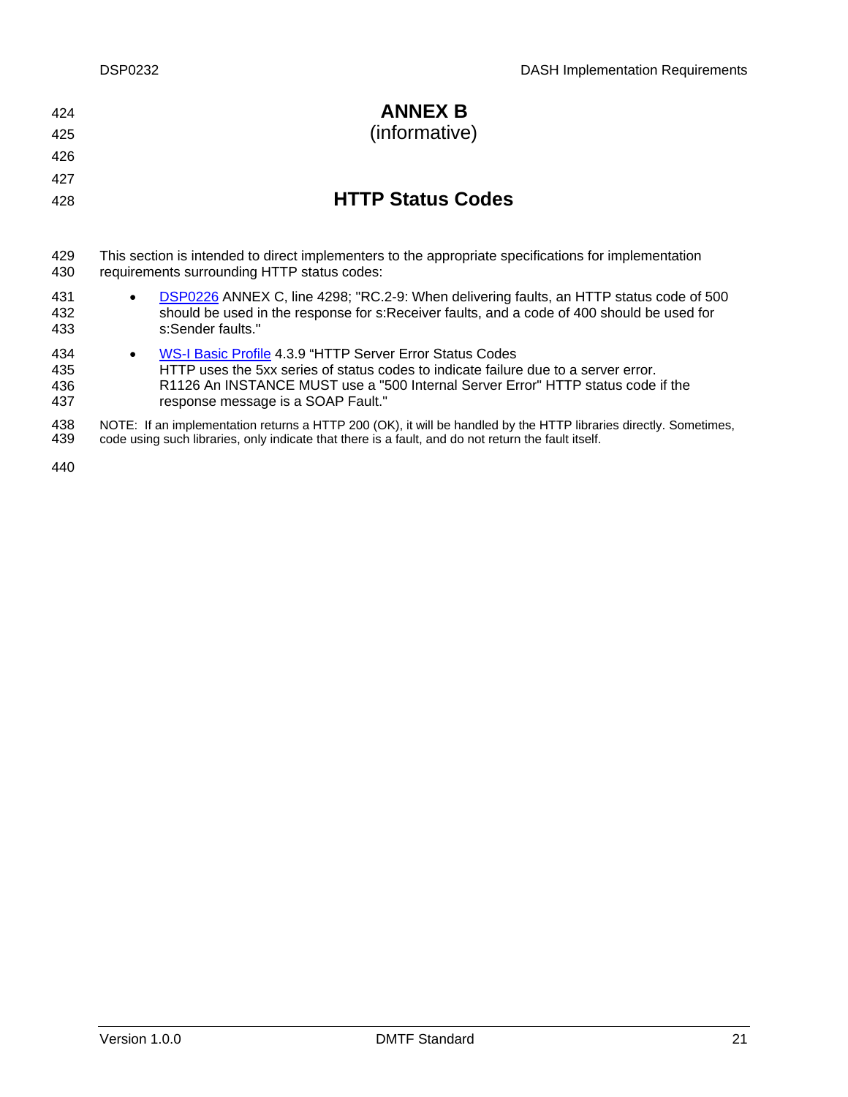<span id="page-20-0"></span>

| 424<br>425               | <b>ANNEX B</b><br>(informative)                                                                                                                                                                                                                                                        |
|--------------------------|----------------------------------------------------------------------------------------------------------------------------------------------------------------------------------------------------------------------------------------------------------------------------------------|
| 426                      |                                                                                                                                                                                                                                                                                        |
| 427                      |                                                                                                                                                                                                                                                                                        |
| 428                      | <b>HTTP Status Codes</b>                                                                                                                                                                                                                                                               |
|                          |                                                                                                                                                                                                                                                                                        |
| 429<br>430               | This section is intended to direct implementers to the appropriate specifications for implementation<br>requirements surrounding HTTP status codes:                                                                                                                                    |
| 431<br>432<br>433        | DSP0226 ANNEX C, line 4298; "RC.2-9: When delivering faults, an HTTP status code of 500<br>should be used in the response for s: Receiver faults, and a code of 400 should be used for<br>s:Sender faults."                                                                            |
| 434<br>435<br>436<br>437 | WS-I Basic Profile 4.3.9 "HTTP Server Error Status Codes<br>$\bullet$<br>HTTP uses the 5xx series of status codes to indicate failure due to a server error.<br>R1126 An INSTANCE MUST use a "500 Internal Server Error" HTTP status code if the<br>response message is a SOAP Fault." |
| 438                      | NOTE: If an implementation returns a HTTP 200 (OK), it will be handled by the HTTP libraries directly. Sometimes,                                                                                                                                                                      |

439 code using such libraries, only indicate that there is a fault, and do not return the fault itself.